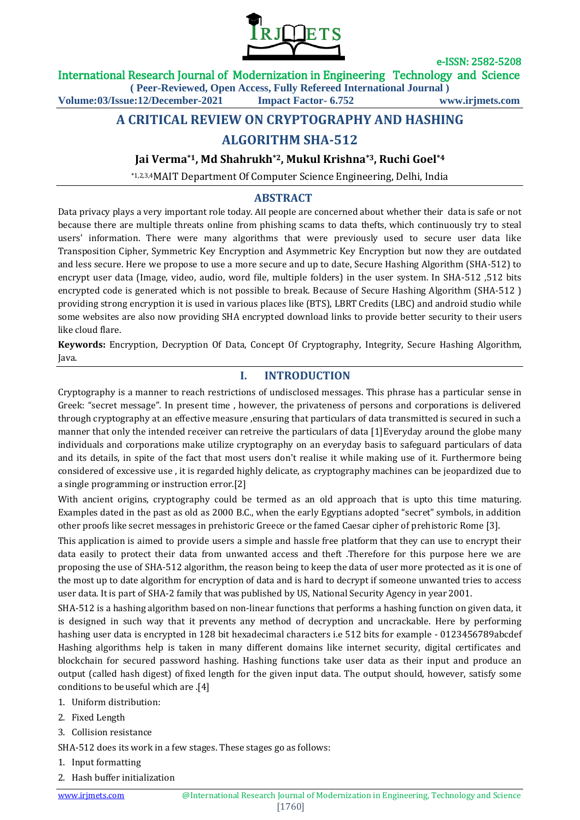

International Research Journal of Modernization in Engineering Technology and Science

**( Peer-Reviewed, Open Access, Fully Refereed International Journal )**

**Volume:03/Issue:12/December-2021 Impact Factor- 6.752 www.irjmets.com**

# **A CRITICAL REVIEW ON CRYPTOGRAPHY AND HASHING ALGORITHM SHA-512**

#### **Jai Verma\*1, Md Shahrukh\*2, Mukul Krishna\*3, Ruchi Goel\*4**

\*1,2,3,4MAIT Department Of Computer Science Engineering, Delhi, India

## **A**ABSTRACT **ABSTRACT**

Data privacy plays a very important role today. All people are concerned about whether their data is safe or not because there are multiple threats online from phishing scams to data thefts, which continuously try to steal users' information. There were many algorithms that were previously used to secure user data like Transposition Cipher, Symmetric Key Encryption and Asymmetric Key Encryption but now they are outdated and less secure. Here we propose to use a more secure and up to date, Secure Hashing Algorithm (SHA-512) to encrypt user data (Image, video, audio, word file, multiple folders) in the user system. In SHA-512 ,512 bits encrypted code is generated which is not possible to break. Because of Secure Hashing Algorithm (SHA-512 ) providing strong encryption it is used in various places like (BTS), LBRT Credits (LBC) and android studio while some websites are also now providing SHA encrypted download links to provide better security to their users like cloud flare.

**Keywords:** Encryption, Decryption Of Data, Concept Of Cryptography, Integrity, Secure Hashing Algorithm, Java.

### **I. INTRODUCTION**

Cryptography is a manner to reach restrictions of undisclosed messages. This phrase has a particular sense in Greek: "secret message". In present time , however, the privateness of persons and corporations is delivered through cryptography at an effective measure ,ensuring that particulars of data transmitted is secured in such a manner that only the intended receiver can retreive the particulars of data [1]Everyday around the globe many individuals and corporations make utilize cryptography on an everyday basis to safeguard particulars of data and its details, in spite of the fact that most users don't realise it while making use of it. Furthermore being considered of excessive use , it is regarded highly delicate, as cryptography machines can be jeopardized due to a single programming or instruction error.[2]

With ancient origins, cryptography could be termed as an old approach that is upto this time maturing. Examples dated in the past as old as 2000 B.C., when the early Egyptians adopted "secret" symbols, in addition other proofs like secret messages in prehistoric Greece or the famed Caesar cipher of prehistoric Rome [3].

This application is aimed to provide users a simple and hassle free platform that they can use to encrypt their data easily to protect their data from unwanted access and theft .Therefore for this purpose here we are proposing the use of SHA-512 algorithm, the reason being to keep the data of user more protected as it is one of the most up to date algorithm for encryption of data and is hard to decrypt if someone unwanted tries to access user data. It is part of SHA-2 family that was published by US, National Security Agency in year 2001.

SHA-512 is a hashing algorithm based on non-linear functions that performs a hashing function on given data, it is designed in such way that it prevents any method of decryption and uncrackable. Here by performing hashing user data is encrypted in 128 bit hexadecimal characters i.e 512 bits for example - 0123456789abcdef Hashing algorithms help is taken in many different domains like internet security, digital certificates and blockchain for secured password hashing. Hashing functions take user data as their input and produce an output (called hash digest) of fixed length for the given input data. The output should, however, satisfy some conditions to be useful which are .[4]

- 1. Uniform distribution:
- 2. Fixed Length
- 3. Collision resistance

SHA-512 does its work in a few stages. These stages go as follows:

- 1. Input formatting
- 2. Hash buffer initialization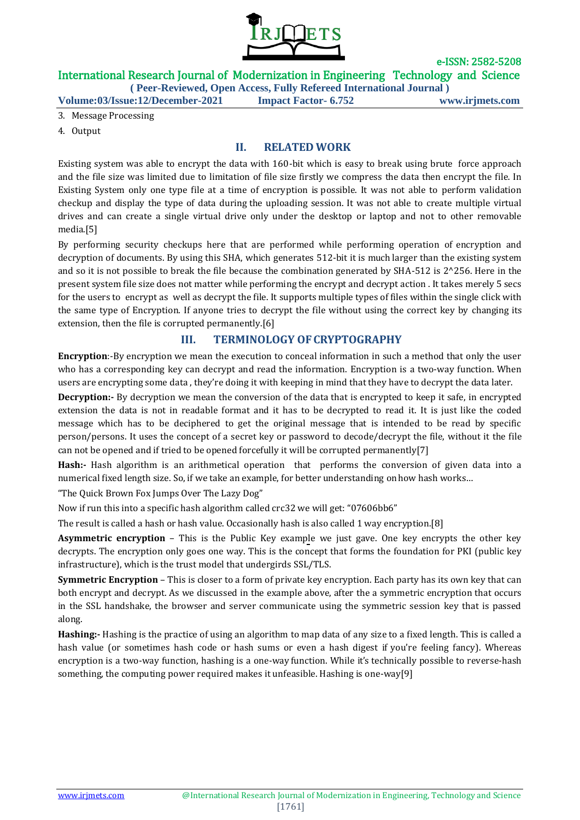

## International Research Journal of Modernization in Engineering Technology and Science

**( Peer-Reviewed, Open Access, Fully Refereed International Journal )**

**Volume:03/Issue:12/December-2021 Impact Factor- 6.752 www.irjmets.com**

- 3. Message Processing
- 4. Output

#### **II. RELATED WORK**

Existing system was able to encrypt the data with 160-bit which is easy to break using brute force approach and the file size was limited due to limitation of file size firstly we compress the data then encrypt the file. In Existing System only one type file at a time of encryption is possible. It was not able to perform validation checkup and display the type of data during the uploading session. It was not able to create multiple virtual drives and can create a single virtual drive only under the desktop or laptop and not to other removable media.[5]

By performing security checkups here that are performed while performing operation of encryption and decryption of documents. By using this SHA, which generates 512-bit it is much larger than the existing system and so it is not possible to break the file because the combination generated by SHA-512 is  $2^{\circ}256$ . Here in the present system file size does not matter while performing the encrypt and decrypt action . It takes merely 5 secs for the users to encrypt as well as decrypt the file. It supports multiple types of files within the single click with the same type of Encryption. If anyone tries to decrypt the file without using the correct key by changing its extension, then the file is corrupted permanently.[6]

#### **III. TERMINOLOGY OFCRYPTOGRAPHY**

**Encryption**:-By encryption we mean the execution to conceal information in such a method that only the user who has a corresponding key can decrypt and read the information. Encryption is a two-way function. When users are encrypting some data , they're doing it with keeping in mind that they have to decrypt the data later.

**Decryption:-** By decryption we mean the conversion of the data that is encrypted to keep it safe, in encrypted extension the data is not in readable format and it has to be decrypted to read it. It is just like the coded message which has to be deciphered to get the original message that is intended to be read by specific person/persons. It uses the concept of a secret key or password to decode/decrypt the file, without it the file can not be opened and if tried to be opened forcefully it will be corrupted permanently[7]

**Hash:-** Hash algorithm is an arithmetical operation that performs the conversion of given data into a numerical fixed length size. So, if we take an example, for better understanding on how hash works…

"The Quick Brown Fox Jumps Over The Lazy Dog"

Now if run this into a specific hash algorithm called crc32 we will get: "07606bb6"

The result is called a hash or hash value. Occasionally hash is also called 1 way encryption.[8]

**Asymmetric encryption** – This is the Public Key example we just gave. One key encrypts the other key decrypts. The encryption only goes one way. This is the concept that forms the foundation for PKI (public key infrastructure), which is the trust model that undergirds SSL/TLS.

**Symmetric Encryption** – This is closer to a form of private key encryption. Each party has its own key that can both encrypt and decrypt. As we discussed in the example above, after the a symmetric encryption that occurs in the SSL handshake, the browser and server communicate using the symmetric session key that is passed along.

**Hashing:-** Hashing is the practice of using an algorithm to map data of any size to a fixed length. This is called a hash value (or sometimes hash code or hash sums or even a hash digest if you're feeling fancy). Whereas encryption is a two-way function, hashing is a one-way function. While it's technically possible to reverse-hash something, the computing power required makes it unfeasible. Hashing is one-way[9]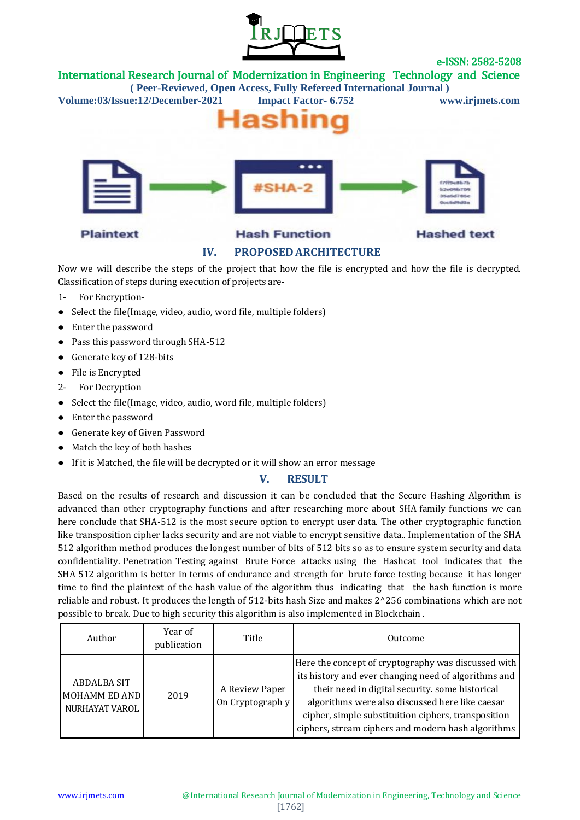

International Research Journal of Modernization in Engineering Technology and Science

**( Peer-Reviewed, Open Access, Fully Refereed International Journal )**

**Volume:03/Issue:12/December-2021 Impact Factor- 6.752 www.irjmets.com**



### **IV. PROPOSED ARCHITECTURE**

Now we will describe the steps of the project that how the file is encrypted and how the file is decrypted. Classification of steps during execution of projects are-

- 1- For Encryption-
- Select the file(Image, video, audio, word file, multiple folders)
- Enter the password
- Pass this password through SHA-512
- Generate key of 128-bits
- File is Encrypted
- 2- For Decryption
- Select the file(Image, video, audio, word file, multiple folders)
- Enter the password
- Generate key of Given Password
- Match the key of both hashes
- If it is Matched, the file will be decrypted or it will show an error message

## **V. RESULT**

Based on the results of research and discussion it can be concluded that the Secure Hashing Algorithm is advanced than other cryptography functions and after researching more about SHA family functions we can here conclude that SHA-512 is the most secure option to encrypt user data. The other cryptographic function like transposition cipher lacks security and are not viable to encrypt sensitive data.. Implementation of the SHA 512 algorithm method produces the longest number of bits of 512 bits so as to ensure system security and data confidentiality. Penetration Testing against Brute Force attacks using the Hashcat tool indicates that the SHA 512 algorithm is better in terms of endurance and strength for brute force testing because it has longer time to find the plaintext of the hash value of the algorithm thus indicating that the hash function is more reliable and robust. It produces the length of 512-bits hash Size and makes 2^256 combinations which are not possible to break. Due to high security this algorithm is also implemented in Blockchain .

| Author                                                | Year of<br>publication | Title                              | Outcome                                                                                                                                                                                                                                                                                                                        |
|-------------------------------------------------------|------------------------|------------------------------------|--------------------------------------------------------------------------------------------------------------------------------------------------------------------------------------------------------------------------------------------------------------------------------------------------------------------------------|
| ABDALBA SIT<br><b>MOHAMM ED AND</b><br>NURHAYAT VAROL | 2019                   | A Review Paper<br>On Cryptograph y | Here the concept of cryptography was discussed with<br>its history and ever changing need of algorithms and<br>their need in digital security. some historical<br>algorithms were also discussed here like caesar<br>cipher, simple substituition ciphers, transposition<br>ciphers, stream ciphers and modern hash algorithms |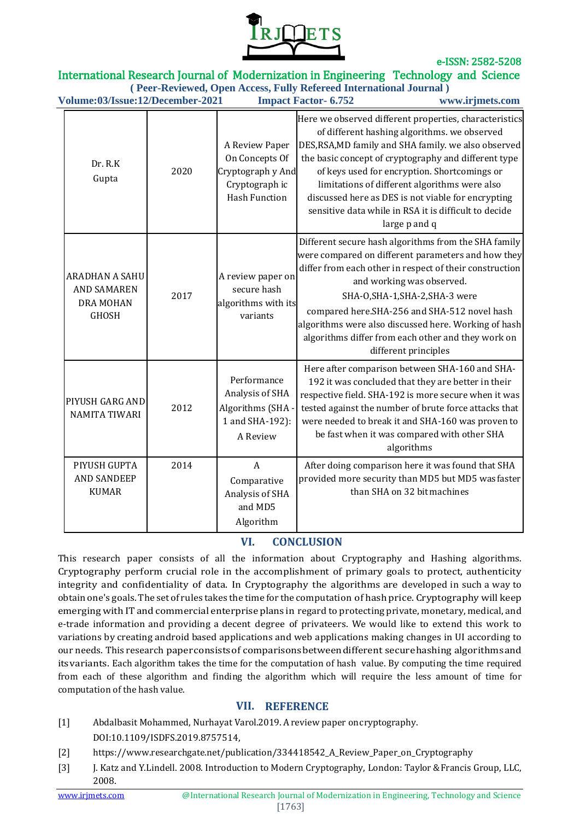

### International Research Journal of Modernization in Engineering Technology and Science

**( Peer-Reviewed, Open Access, Fully Refereed International Journal ) Volume:03/Issue:12/December-2021 Impact Factor- 6.752 www.irjmets.com**

| v olume.os/1880e.12/December-2021<br>11111111111224 Tullion<br>www.n.jincts.com |      |                                                                                                 |                                                                                                                                                                                                                                                                                                                                                                                                                                                         |  |  |
|---------------------------------------------------------------------------------|------|-------------------------------------------------------------------------------------------------|---------------------------------------------------------------------------------------------------------------------------------------------------------------------------------------------------------------------------------------------------------------------------------------------------------------------------------------------------------------------------------------------------------------------------------------------------------|--|--|
| Dr. R.K<br>Gupta                                                                | 2020 | A Review Paper<br>On Concepts Of<br>Cryptograph y And<br>Cryptograph ic<br><b>Hash Function</b> | Here we observed different properties, characteristics<br>of different hashing algorithms. we observed<br>DES, RSA, MD family and SHA family. we also observed<br>the basic concept of cryptography and different type<br>of keys used for encryption. Shortcomings or<br>limitations of different algorithms were also<br>discussed here as DES is not viable for encrypting<br>sensitive data while in RSA it is difficult to decide<br>large p and q |  |  |
| <b>ARADHAN A SAHU</b><br><b>AND SAMAREN</b><br>DRA MOHAN<br><b>GHOSH</b>        | 2017 | A review paper on<br>secure hash<br>algorithms with its<br>variants                             | Different secure hash algorithms from the SHA family<br>were compared on different parameters and how they<br>differ from each other in respect of their construction<br>and working was observed.<br>SHA-O, SHA-1, SHA-2, SHA-3 were<br>compared here.SHA-256 and SHA-512 novel hash<br>algorithms were also discussed here. Working of hash<br>algorithms differ from each other and they work on<br>different principles                             |  |  |
| PIYUSH GARG AND<br><b>NAMITA TIWARI</b>                                         | 2012 | Performance<br>Analysis of SHA<br>Algorithms (SHA -<br>1 and SHA-192):<br>A Review              | Here after comparison between SHA-160 and SHA-<br>192 it was concluded that they are better in their<br>respective field. SHA-192 is more secure when it was<br>tested against the number of brute force attacks that<br>were needed to break it and SHA-160 was proven to<br>be fast when it was compared with other SHA<br>algorithms                                                                                                                 |  |  |
| PIYUSH GUPTA<br><b>AND SANDEEP</b><br><b>KUMAR</b>                              | 2014 | $\overline{A}$<br>Comparative<br>Analysis of SHA<br>and MD5<br>Algorithm                        | After doing comparison here it was found that SHA<br>provided more security than MD5 but MD5 wasfaster<br>than SHA on 32 bit machines                                                                                                                                                                                                                                                                                                                   |  |  |

## **VI. CONCLUSION**

This research paper consists of all the information about Cryptography and Hashing algorithms. Cryptography perform crucial role in the accomplishment of primary goals to protect, authenticity integrity and confidentiality of data. In Cryptography the algorithms are developed in such a way to obtain one's goals. The set of rules takes the time for the computation of hash price. Cryptography will keep emerging with IT and commercial enterprise plans in regard to protecting private, monetary, medical, and e-trade information and providing a decent degree of privateers. We would like to extend this work to variations by creating android based applications and web applications making changes in UI according to our needs. This research paperconsistsof comparisonsbetweendifferent securehashing algorithmsand itsvariants. Each algorithm takes the time for the computation of hash value. By computing the time required from each of these algorithm and finding the algorithm which will require the less amount of time for computation of the hash value.

#### **VII. REFERENCE**

- [1] Abdalbasit Mohammed, Nurhayat Varol.2019. A review paper on cryptography. DOI:10.1109/ISDFS.2019.8757514,
- [2] https://www.researchgate.net/publication/334418542\_A\_Review\_Paper\_on\_Cryptography
- [3] J. Katz and Y. Lindell. 2008. Introduction to Modern Cryptography, London: Taylor & Francis Group, LLC, 2008.